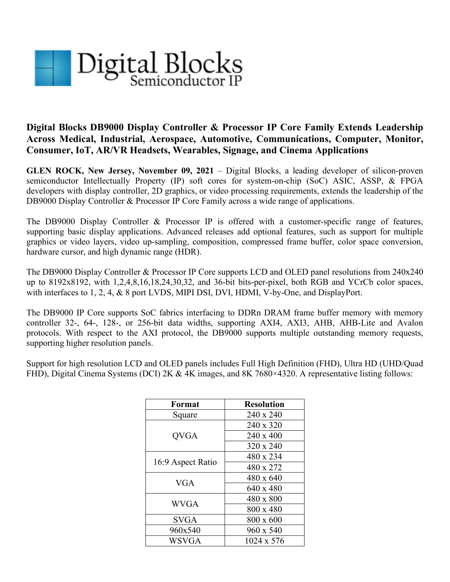

## **Digital Blocks DB9000 Display Controller & Processor IP Core Family Extends Leadership Across Medical, Industrial, Aerospace, Automotive, Communications, Computer, Monitor, Consumer, IoT, AR/VR Headsets, Wearables, Signage, and Cinema Applications**

**GLEN ROCK, New Jersey, November 09, 2021** – Digital Blocks, a leading developer of silicon-proven semiconductor Intellectually Property (IP) soft cores for system-on-chip (SoC) ASIC, ASSP, & FPGA developers with display controller, 2D graphics, or video processing requirements, extends the leadership of the DB9000 Display Controller & Processor IP Core Family across a wide range of applications.

The DB9000 Display Controller & Processor IP is offered with a customer-specific range of features, supporting basic display applications. Advanced releases add optional features, such as support for multiple graphics or video layers, video up-sampling, composition, compressed frame buffer, color space conversion, hardware cursor, and high dynamic range (HDR).

The DB9000 Display Controller & Processor IP Core supports LCD and OLED panel resolutions from 240x240 up to 8192x8192, with 1,2,4,8,16,18,24,30,32, and 36-bit bits-per-pixel, both RGB and YCrCb color spaces, with interfaces to 1, 2, 4, & 8 port LVDS, MIPI DSI, DVI, HDMI, V-by-One, and DisplayPort.

The DB9000 IP Core supports SoC fabrics interfacing to DDRn DRAM frame buffer memory with memory controller 32-, 64-, 128-, or 256-bit data widths, supporting AXI4, AXI3, AHB, AHB-Lite and Avalon protocols. With respect to the AXI protocol, the DB9000 supports multiple outstanding memory requests, supporting higher resolution panels.

Support for high resolution LCD and OLED panels includes Full High Definition (FHD), Ultra HD (UHD/Quad FHD), Digital Cinema Systems (DCI) 2K & 4K images, and 8K 7680×4320. A representative listing follows:

| Format            | <b>Resolution</b> |
|-------------------|-------------------|
| Square            | 240 x 240         |
| <b>QVGA</b>       | 240 x 320         |
|                   | $240 \times 400$  |
|                   | 320 x 240         |
| 16:9 Aspect Ratio | 480 x 234         |
|                   | 480 x 272         |
| VGA               | $480 \times 640$  |
|                   | 640 x 480         |
| <b>WVGA</b>       | 480 x 800         |
|                   | 800 x 480         |
| SVGA              | 800 x 600         |
| 960x540           | 960 x 540         |
| WSVGA             | 1024 x 576        |